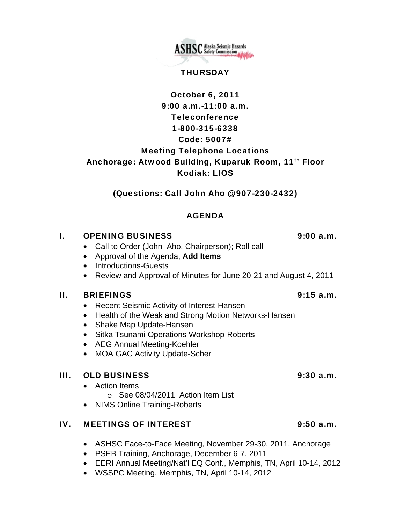**ASHSC** Alaska Seismic Hazards

### THURSDAY

# October 6, 2011 9:00 a.m.-11:00 a.m. Teleconference 1-800-315-6338 Code: 5007# Meeting Telephone Locations Anchorage: Atwood Building, Kuparuk Room, 11<sup>th</sup> Floor Kodiak: LIOS

(Questions: Call John Aho @ 907-230-2432)

# AGENDA

# I. OPENING BUSINESS 9:00 a.m.

- Call to Order (John Aho, Chairperson); Roll call
- Approval of the Agenda, **Add Items**
- Introductions-Guests
- Review and Approval of Minutes for June 20-21 and August 4, 2011

### II. BRIEFINGS 9:15 a.m.

- Recent Seismic Activity of Interest-Hansen
- Health of the Weak and Strong Motion Networks-Hansen
- Shake Map Update-Hansen
- Sitka Tsunami Operations Workshop-Roberts
- AEG Annual Meeting-Koehler
- MOA GAC Activity Update-Scher

# III. OLD BUSINESS 9:30 a.m.

- Action Items o See 08/04/2011 Action Item List
- NIMS Online Training-Roberts

### IV. MEETINGS OF INTEREST 9:50 a.m.

- ASHSC Face-to-Face Meeting, November 29-30, 2011, Anchorage
- PSEB Training, Anchorage, December 6-7, 2011
- EERI Annual Meeting/Nat'l EQ Conf., Memphis, TN, April 10-14, 2012
- WSSPC Meeting, Memphis, TN, April 10-14, 2012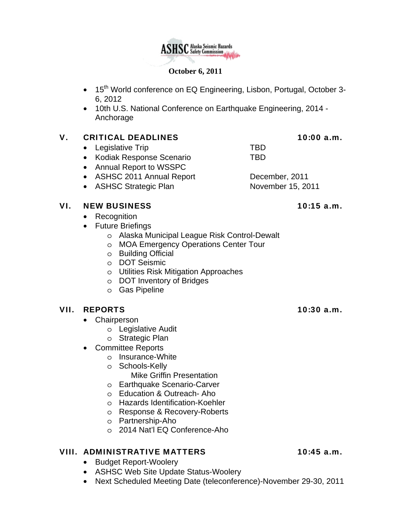### **October 6, 2011**

- 15<sup>th</sup> World conference on EQ Engineering, Lisbon, Portugal, October 3-6, 2012
- 10th U.S. National Conference on Earthquake Engineering, 2014 Anchorage

### V. CRITICAL DEADLINES 10:00 a.m.

- Legislative Trip TBD
- Kodiak Response Scenario TBD
- Annual Report to WSSPC
- ASHSC 2011 Annual Report December, 2011
- ASHSC Strategic Plan November 15, 2011

### VI. NEW BUSINESS 10:15 a.m.

- Recognition
- Future Briefings
	- o Alaska Municipal League Risk Control-Dewalt
	- o MOA Emergency Operations Center Tour
	- o Building Official
	- o DOT Seismic
	- o Utilities Risk Mitigation Approaches
	- o DOT Inventory of Bridges
	- o Gas Pipeline

# VII. REPORTS 10:30 a.m.

- Chairperson
	- o Legislative Audit
	- o Strategic Plan
- Committee Reports
	- o Insurance-White
	- o Schools-Kelly Mike Griffin Presentation
	- o Earthquake Scenario-Carver
	- o Education & Outreach- Aho
	- o Hazards Identification-Koehler
	- o Response & Recovery-Roberts
	- o Partnership-Aho
	- o 2014 Nat'l EQ Conference-Aho

# VIII. ADMINISTRATIVE MATTERS 10:45 a.m.

- Budget Report-Woolery
- ASHSC Web Site Update Status-Woolery
- Next Scheduled Meeting Date (teleconference)-November 29-30, 2011

**ASHSC** Alaska Seismic Hazards